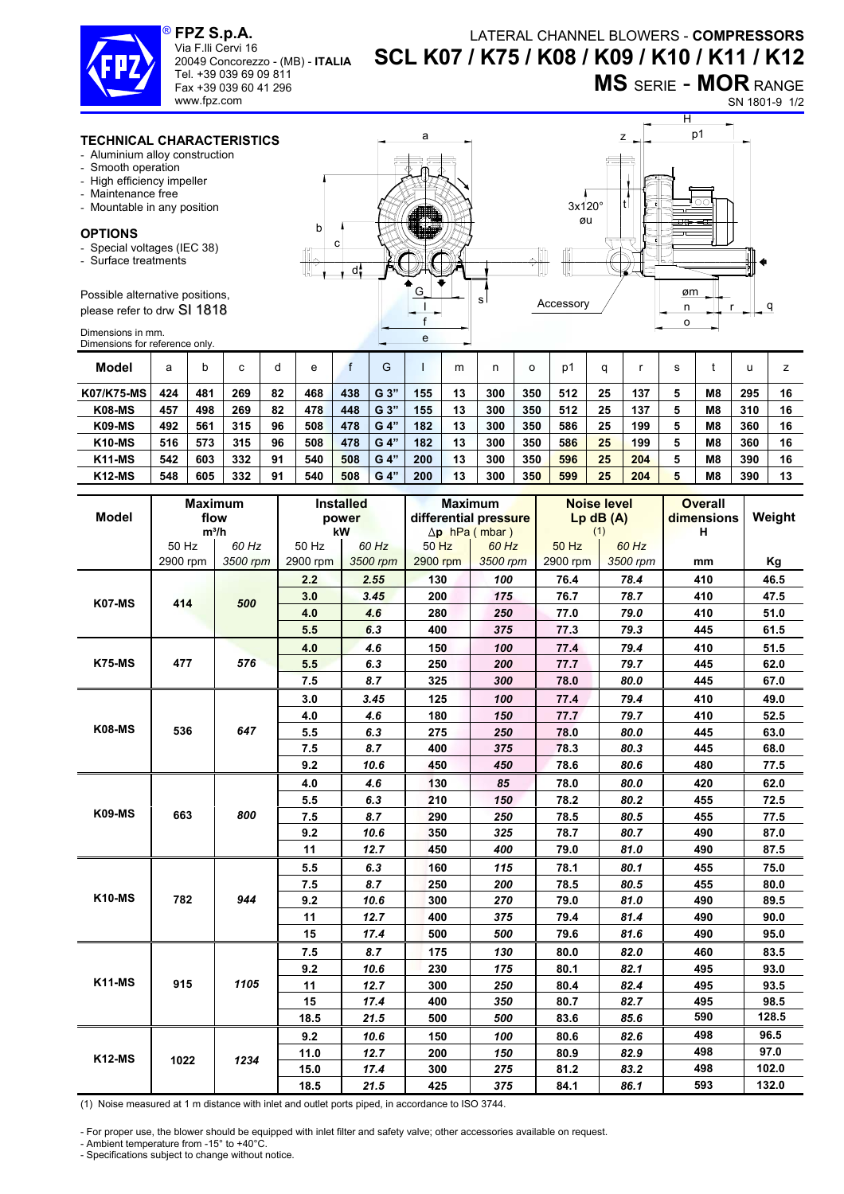#### **FPZ S.p.A.**  Via F.lli Cervi 16 20049 Concorezzo - (MB) - **ITALIA** ®

Tel. +39 039 69 09 811 Fax +39 039 60 41 296 www.fpz.com

## LATERAL CHANNEL BLOWERS - **COMPRESSORS SCL K07 / K75 / K08 / K09 / K10 / K11 / K12**

**MS** SERIE - **MOR** RANGE

### SN 1801-9 1/2

### **TECHNICAL CHARACTERISTICS**

- Aluminium alloy construction
- Smooth operation
- High efficiency impeller
- Maintenance free
- Mountable in any position

#### **OPTIONS**

- Special voltages (IEC 38)
- Surface treatments

Possible alternative positions, please refer to drw SI 1818

Dimensions in mm. Dimensions for reference only.



| Model             | a   |     | ⌒   | d  | е   |     | G    |     | m  | n   |     | p′  | a  |     | s |                |     |    |
|-------------------|-----|-----|-----|----|-----|-----|------|-----|----|-----|-----|-----|----|-----|---|----------------|-----|----|
| <b>K07/K75-MS</b> | 424 | 481 | 269 | 82 | 468 | 438 | G 3" | 155 | 13 | 300 | 350 | 512 | 25 | 137 | 5 | M <sub>8</sub> | 295 | 16 |
| <b>K08-MS</b>     | 457 | 498 | 269 | 82 | 478 | 448 | G 3" | 155 | 13 | 300 | 350 | 512 | 25 | 137 | 5 | M <sub>8</sub> | 310 | 16 |
| <b>K09-MS</b>     | 492 | 561 | 315 | 96 | 508 | 478 | G 4" | 182 | 13 | 300 | 350 | 586 | 25 | 199 | 5 | M <sub>8</sub> | 360 | 16 |
| <b>K10-MS</b>     | 516 | 573 | 315 | 96 | 508 | 478 | G 4" | 182 | 13 | 300 | 350 | 586 | 25 | 199 | 5 | M8             | 360 | 16 |
| <b>K11-MS</b>     | 542 | 603 | 332 | 91 | 540 | 508 | G 4" | 200 | 13 | 300 | 350 | 596 | 25 | 204 | 5 | M <sub>8</sub> | 390 | 16 |
| <b>K12-MS</b>     | 548 | 605 | 332 | 91 | 540 | 508 | G 4" | 200 | 13 | 300 | 350 | 599 | 25 | 204 | 5 | M <sub>8</sub> | 390 | 13 |

|               |          | <b>Maximum</b> |          | <b>Installed</b> |          | <b>Maximum</b>        |          | <b>Noise level</b> | <b>Overall</b> |        |
|---------------|----------|----------------|----------|------------------|----------|-----------------------|----------|--------------------|----------------|--------|
| <b>Model</b>  |          | flow           |          | power            |          | differential pressure |          | $Lp$ dB $(A)$      | dimensions     | Weight |
|               |          | $m^3/h$        |          | kW               |          | $\Delta p$ hPa (mbar) | (1)      |                    | н              |        |
|               | 50 Hz    | 60 Hz          | 50 Hz    | 60 Hz            | 50 Hz    | 60 Hz                 | 50 Hz    | 60 Hz              |                |        |
|               | 2900 rpm | 3500 rpm       | 2900 rpm | 3500 rpm         | 2900 rpm | 3500 rpm              | 2900 rpm | 3500 rpm           | mm             | Kg     |
|               | 414      | 500            | 2.2      | 2.55             | 130      | 100                   | 76.4     | 78.4               | 410            | 46.5   |
| K07-MS        |          |                | 3.0      | 3.45             | 200      | 175                   | 76.7     | 78.7               | 410            | 47.5   |
|               |          |                | 4.0      | 4.6              | 280      | 250                   | 77.0     | 79.0               | 410            | 51.0   |
|               |          |                | 5.5      | 6.3              | 400      | 375                   | 77.3     | 79.3               | 445            | 61.5   |
| <b>K75-MS</b> | 477      | 576            | 4.0      | 4.6              | 150      | 100                   | 77.4     | 79.4               | 410            | 51.5   |
|               |          |                | 5.5      | 6.3              | 250      | 200                   | 77.7     | 79.7               | 445            | 62.0   |
|               |          |                | 7.5      | 8.7              | 325      | 300                   | 78.0     | 80.0               | 445            | 67.0   |
|               | 536      | 647            | 3.0      | 3.45             | 125      | 100                   | 77.4     | 79.4               | 410            | 49.0   |
| <b>K08-MS</b> |          |                | 4.0      | 4.6              | 180      | 150                   | 77.7     | 79.7               | 410            | 52.5   |
|               |          |                | 5.5      | 6.3              | 275      | 250                   | 78.0     | 80.0               | 445            | 63.0   |
|               |          |                | 7.5      | 8.7              | 400      | 375                   | 78.3     | 80.3               | 445            | 68.0   |
|               |          |                | 9.2      | 10.6             | 450      | 450                   | 78.6     | 80.6               | 480            | 77.5   |
| <b>K09-MS</b> | 663      | 800            | 4.0      | 4.6              | 130      | 85                    | 78.0     | 80.0               | 420            | 62.0   |
|               |          |                | 5.5      | 6.3              | 210      | 150                   | 78.2     | 80.2               | 455            | 72.5   |
|               |          |                | 7.5      | 8.7              | 290      | 250                   | 78.5     | 80.5               | 455            | 77.5   |
|               |          |                | 9.2      | 10.6             | 350      | 325                   | 78.7     | 80.7               | 490            | 87.0   |
|               |          |                | 11       | 12.7             | 450      | 400                   | 79.0     | 81.0               | 490            | 87.5   |
| <b>K10-MS</b> | 782      | 944            | 5.5      | 6.3              | 160      | 115                   | 78.1     | 80.1               | 455            | 75.0   |
|               |          |                | 7.5      | 8.7              | 250      | 200                   | 78.5     | 80.5               | 455            | 80.0   |
|               |          |                | 9.2      | 10.6             | 300      | 270                   | 79.0     | 81.0               | 490            | 89.5   |
|               |          |                | 11       | 12.7             | 400      | 375                   | 79.4     | 81.4               | 490            | 90.0   |
|               |          |                | 15       | 17.4             | 500      | 500                   | 79.6     | 81.6               | 490            | 95.0   |
| <b>K11-MS</b> | 915      | 1105           | 7.5      | 8.7              | 175      | 130                   | 80.0     | 82.0               | 460            | 83.5   |
|               |          |                | 9.2      | 10.6             | 230      | 175                   | 80.1     | 82.1               | 495            | 93.0   |
|               |          |                | 11       | 12.7             | 300      | 250                   | 80.4     | 82.4               | 495            | 93.5   |
|               |          |                | 15       | 17.4             | 400      | 350                   | 80.7     | 82.7               | 495            | 98.5   |
|               |          |                | 18.5     | 21.5             | 500      | 500                   | 83.6     | 85.6               | 590            | 128.5  |
| <b>K12-MS</b> |          | 1234           | 9.2      | 10.6             | 150      | 100                   | 80.6     | 82.6               | 498            | 96.5   |
|               | 1022     |                | 11.0     | 12.7             | 200      | 150                   | 80.9     | 82.9               | 498            | 97.0   |
|               |          |                | 15.0     | 17.4             | 300      | 275                   | 81.2     | 83.2               | 498            | 102.0  |
|               |          |                | 18.5     | 21.5             | 425      | 375                   | 84.1     | 86.1               | 593            | 132.0  |

(1) Noise measured at 1 m distance with inlet and outlet ports piped, in accordance to ISO 3744.

- For proper use, the blower should be equipped with inlet filter and safety valve; other accessories available on request.

- Ambient temperature from -15° to +40°C.

- Specifications subject to change without notice.